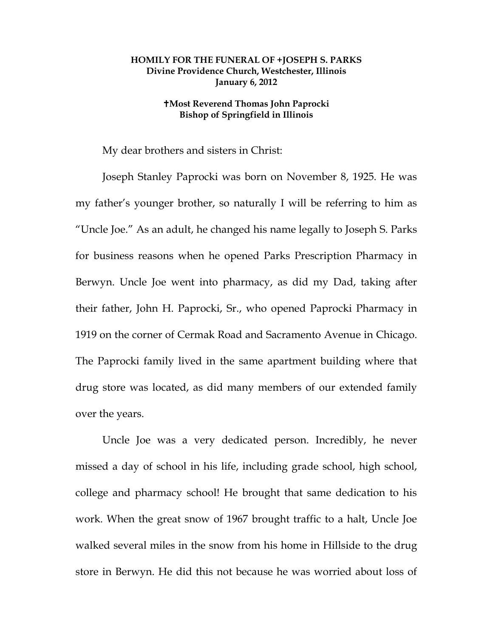## **HOMILY FOR THE FUNERAL OF +JOSEPH S. PARKS Divine Providence Church, Westchester, Illinois January 6, 2012**

## **Most Reverend Thomas John Paprocki Bishop of Springfield in Illinois**

My dear brothers and sisters in Christ:

 Joseph Stanley Paprocki was born on November 8, 1925. He was my father's younger brother, so naturally I will be referring to him as "Uncle Joe." As an adult, he changed his name legally to Joseph S. Parks for business reasons when he opened Parks Prescription Pharmacy in Berwyn. Uncle Joe went into pharmacy, as did my Dad, taking after their father, John H. Paprocki, Sr., who opened Paprocki Pharmacy in 1919 on the corner of Cermak Road and Sacramento Avenue in Chicago. The Paprocki family lived in the same apartment building where that drug store was located, as did many members of our extended family over the years.

 Uncle Joe was a very dedicated person. Incredibly, he never missed a day of school in his life, including grade school, high school, college and pharmacy school! He brought that same dedication to his work. When the great snow of 1967 brought traffic to a halt, Uncle Joe walked several miles in the snow from his home in Hillside to the drug store in Berwyn. He did this not because he was worried about loss of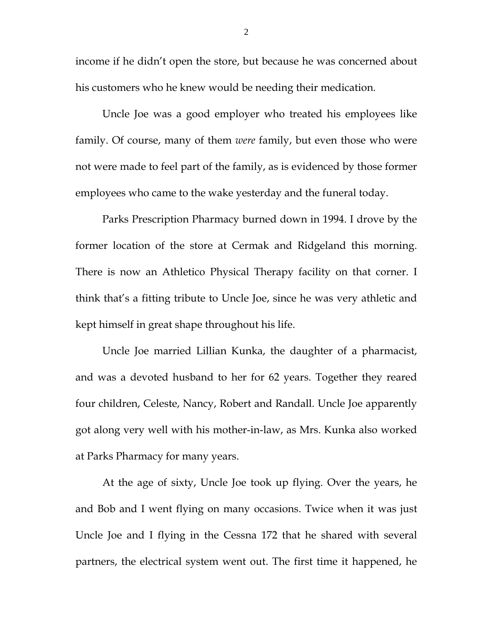income if he didn't open the store, but because he was concerned about his customers who he knew would be needing their medication.

 Uncle Joe was a good employer who treated his employees like family. Of course, many of them *were* family, but even those who were not were made to feel part of the family, as is evidenced by those former employees who came to the wake yesterday and the funeral today.

 Parks Prescription Pharmacy burned down in 1994. I drove by the former location of the store at Cermak and Ridgeland this morning. There is now an Athletico Physical Therapy facility on that corner. I think that's a fitting tribute to Uncle Joe, since he was very athletic and kept himself in great shape throughout his life.

 Uncle Joe married Lillian Kunka, the daughter of a pharmacist, and was a devoted husband to her for 62 years. Together they reared four children, Celeste, Nancy, Robert and Randall. Uncle Joe apparently got along very well with his mother-in-law, as Mrs. Kunka also worked at Parks Pharmacy for many years.

 At the age of sixty, Uncle Joe took up flying. Over the years, he and Bob and I went flying on many occasions. Twice when it was just Uncle Joe and I flying in the Cessna 172 that he shared with several partners, the electrical system went out. The first time it happened, he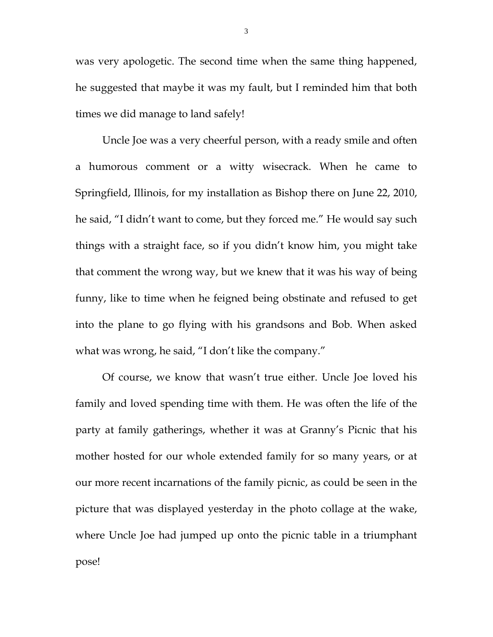was very apologetic. The second time when the same thing happened, he suggested that maybe it was my fault, but I reminded him that both times we did manage to land safely!

 Uncle Joe was a very cheerful person, with a ready smile and often a humorous comment or a witty wisecrack. When he came to Springfield, Illinois, for my installation as Bishop there on June 22, 2010, he said, "I didn't want to come, but they forced me." He would say such things with a straight face, so if you didn't know him, you might take that comment the wrong way, but we knew that it was his way of being funny, like to time when he feigned being obstinate and refused to get into the plane to go flying with his grandsons and Bob. When asked what was wrong, he said, "I don't like the company."

 Of course, we know that wasn't true either. Uncle Joe loved his family and loved spending time with them. He was often the life of the party at family gatherings, whether it was at Granny's Picnic that his mother hosted for our whole extended family for so many years, or at our more recent incarnations of the family picnic, as could be seen in the picture that was displayed yesterday in the photo collage at the wake, where Uncle Joe had jumped up onto the picnic table in a triumphant pose!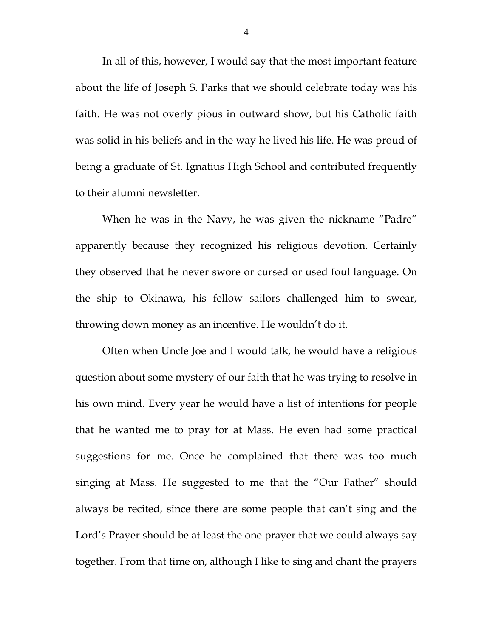In all of this, however, I would say that the most important feature about the life of Joseph S. Parks that we should celebrate today was his faith. He was not overly pious in outward show, but his Catholic faith was solid in his beliefs and in the way he lived his life. He was proud of being a graduate of St. Ignatius High School and contributed frequently to their alumni newsletter.

 When he was in the Navy, he was given the nickname "Padre" apparently because they recognized his religious devotion. Certainly they observed that he never swore or cursed or used foul language. On the ship to Okinawa, his fellow sailors challenged him to swear, throwing down money as an incentive. He wouldn't do it.

 Often when Uncle Joe and I would talk, he would have a religious question about some mystery of our faith that he was trying to resolve in his own mind. Every year he would have a list of intentions for people that he wanted me to pray for at Mass. He even had some practical suggestions for me. Once he complained that there was too much singing at Mass. He suggested to me that the "Our Father" should always be recited, since there are some people that can't sing and the Lord's Prayer should be at least the one prayer that we could always say together. From that time on, although I like to sing and chant the prayers